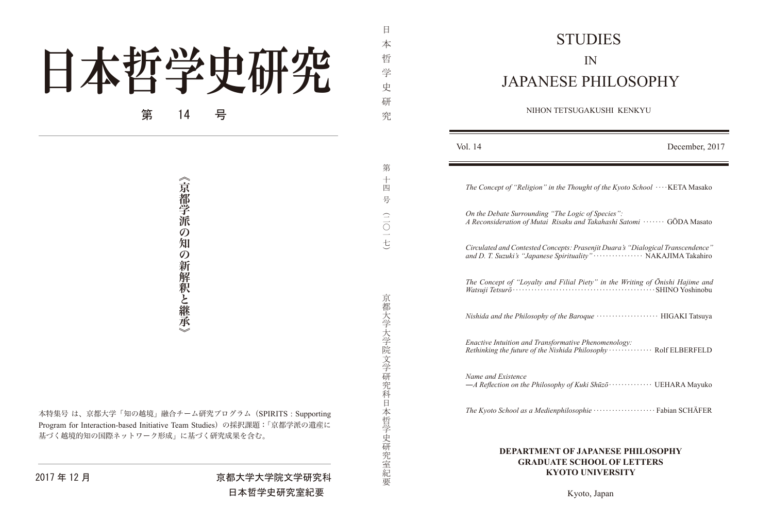## 日本哲学史研究 第 14 号

《京都学派の知の新解釈と継承

「京都学院」の<br>新聞学派の知りの新解釈と継続。<br>本特集号は、京都大学「知の越境」融合チーム研究プログラム(SPIRITS:Supportin<br>Program for Interaction-based Initiative Team Studies)の採択課題:「京都学派の遺産<br>基づく越境的知の国際ネットワーク形成」に基づく研究改果を含む。<br>-<br>-<br>-<br>-<br>-<br>-<br>-<br>- - - - - 京都大学大学院文学研究<br>- - - - - - 本特集号は、京都大学「知の越境」融合チーム研究プログラム (SPIRITS: Supporting Program for Interaction-based Initiative Team Studies) の採択課題:「京都学派の遺産に 基づく越境的知の国際ネットワーク形成」に基づく研究成果を含む。

京都大学大学院文学研究科日本哲学史研究室紀要

京都大学大学院文学研究科日本哲学史研究室紀要)二〇一七(究第十四号

日 本 哲 学 史 研

究

第  $\frac{1}{\ln 2}$ 号

 $\frac{1}{10}$ 

## STUDIES IN JAPANESE PHILOSOPHY

NIHON TETSUGAKUSHI KENKYU

| Vol. 14                                                                                                                                         | December, 2017 |
|-------------------------------------------------------------------------------------------------------------------------------------------------|----------------|
| The Concept of "Religion" in the Thought of the Kyoto School $\cdots$ KETA Masako                                                               |                |
| On the Debate Surrounding "The Logic of Species":<br>A Reconsideration of Mutai Risaku and Takahashi Satomi ······· GŌDA Masato                 |                |
| Circulated and Contested Concepts: Prasenjit Duara's "Dialogical Transcendence"<br>and D. T. Suzuki's "Japanese Spirituality" NAKAJIMA Takahiro |                |
| The Concept of "Loyalty and Filial Piety" in the Writing of Ōnishi Hajime and                                                                   |                |
|                                                                                                                                                 |                |
| Enactive Intuition and Transformative Phenomenology:<br>Rethinking the future of the Nishida Philosophy  Rolf ELBERFELD                         |                |
| Name and Existence                                                                                                                              |                |
|                                                                                                                                                 |                |
| E LA BANECE BHILOCO                                                                                                                             |                |

## **DEPARTMENT OF JAPANESE PHILOSOPHY GRADUATE SCHOOL OF LETTERS KYOTO** UNIVERSITY

## 京都大学大学院文学研究科 月 12 年 2017